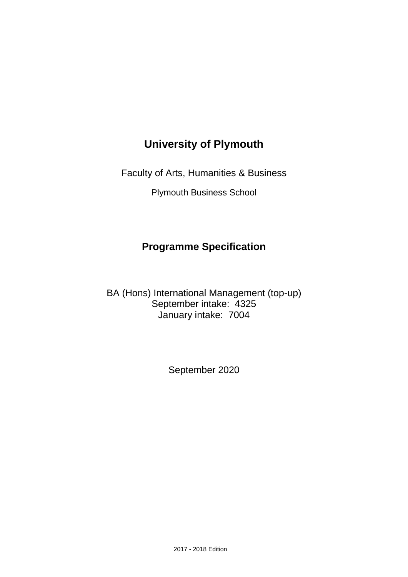# **University of Plymouth**

Faculty of Arts, Humanities & Business

Plymouth Business School

# **Programme Specification**

BA (Hons) International Management (top-up) September intake: 4325 January intake: 7004

September 2020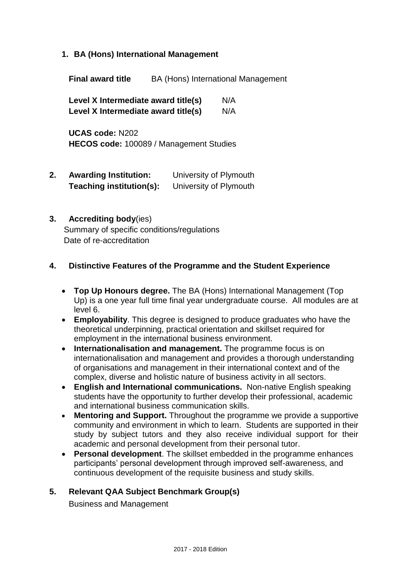**1. BA (Hons) International Management**

**Final award title** BA (Hons) International Management

**Level X Intermediate award title(s)** N/A **Level X Intermediate award title(s)** N/A

**UCAS code:** N202 **HECOS code:** 100089 / Management Studies

**2. Awarding Institution:** University of Plymouth **Teaching institution(s):** University of Plymouth

#### **3. Accrediting body**(ies)

Summary of specific conditions/regulations Date of re-accreditation

#### **4. Distinctive Features of the Programme and the Student Experience**

- **Top Up Honours degree.** The BA (Hons) International Management (Top Up) is a one year full time final year undergraduate course. All modules are at level 6.
- **Employability**. This degree is designed to produce graduates who have the theoretical underpinning, practical orientation and skillset required for employment in the international business environment.
- **Internationalisation and management.** The programme focus is on internationalisation and management and provides a thorough understanding of organisations and management in their international context and of the complex, diverse and holistic nature of business activity in all sectors.
- **English and International communications.** Non-native English speaking students have the opportunity to further develop their professional, academic and international business communication skills.
- **Mentoring and Support.** Throughout the programme we provide a supportive community and environment in which to learn. Students are supported in their study by subject tutors and they also receive individual support for their academic and personal development from their personal tutor.
- **Personal development**. The skillset embedded in the programme enhances participants' personal development through improved self-awareness, and continuous development of the requisite business and study skills.

#### **5. Relevant QAA Subject Benchmark Group(s)**

Business and Management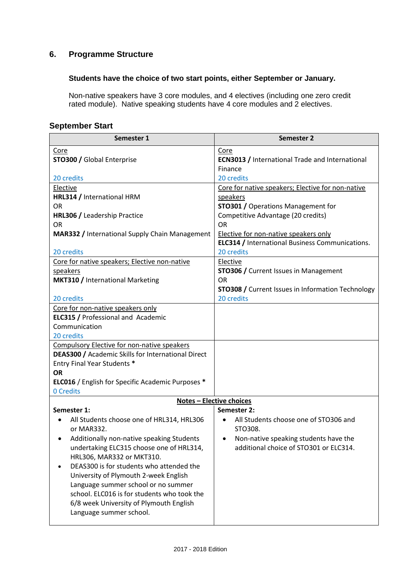## **6. Programme Structure**

#### **Students have the choice of two start points, either September or January.**

Non-native speakers have 3 core modules, and 4 electives (including one zero credit rated module). Native speaking students have 4 core modules and 2 electives.

## **September Start**

| Semester 1                                                                                        | Semester 2                                                    |
|---------------------------------------------------------------------------------------------------|---------------------------------------------------------------|
| Core                                                                                              | Core                                                          |
| <b>STO300 / Global Enterprise</b>                                                                 | <b>ECN3013 / International Trade and International</b>        |
|                                                                                                   | Finance                                                       |
| 20 credits                                                                                        | 20 credits                                                    |
| Elective<br>HRL314 / International HRM                                                            | Core for native speakers; Elective for non-native<br>speakers |
| OR.                                                                                               | <b>STO301 / Operations Management for</b>                     |
| HRL306 / Leadership Practice                                                                      | Competitive Advantage (20 credits)                            |
| <b>OR</b>                                                                                         | <b>OR</b>                                                     |
| <b>MAR332 / International Supply Chain Management</b>                                             | Elective for non-native speakers only                         |
|                                                                                                   | ELC314 / International Business Communications.               |
| 20 credits                                                                                        | 20 credits                                                    |
| Core for native speakers; Elective non-native                                                     | Elective                                                      |
| speakers                                                                                          | <b>STO306 / Current Issues in Management</b>                  |
| <b>MKT310 / International Marketing</b>                                                           | <b>OR</b>                                                     |
|                                                                                                   | <b>STO308 /</b> Current Issues in Information Technology      |
| 20 credits                                                                                        | 20 credits                                                    |
| Core for non-native speakers only                                                                 |                                                               |
| <b>ELC315 / Professional and Academic</b>                                                         |                                                               |
| Communication                                                                                     |                                                               |
| 20 credits                                                                                        |                                                               |
| Compulsory Elective for non-native speakers<br>DEAS300 / Academic Skills for International Direct |                                                               |
| Entry Final Year Students *                                                                       |                                                               |
| <b>OR</b>                                                                                         |                                                               |
| <b>ELC016</b> / English for Specific Academic Purposes *                                          |                                                               |
| 0 Credits                                                                                         |                                                               |
|                                                                                                   | <b>Notes - Elective choices</b>                               |
| Semester 1:                                                                                       | Semester 2:                                                   |
| All Students choose one of HRL314, HRL306                                                         | All Students choose one of STO306 and                         |
| or MAR332.                                                                                        | STO308.                                                       |
| Additionally non-native speaking Students                                                         | Non-native speaking students have the                         |
| undertaking ELC315 choose one of HRL314,                                                          | additional choice of STO301 or ELC314.                        |
| HRL306, MAR332 or MKT310.                                                                         |                                                               |
| DEAS300 is for students who attended the                                                          |                                                               |
| University of Plymouth 2-week English                                                             |                                                               |
| Language summer school or no summer                                                               |                                                               |
| school. ELC016 is for students who took the                                                       |                                                               |
| 6/8 week University of Plymouth English                                                           |                                                               |
| Language summer school.                                                                           |                                                               |
|                                                                                                   |                                                               |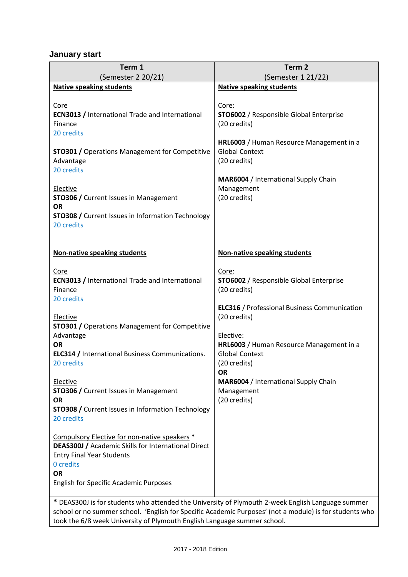## **January start**

| Term 1<br>(Semester 2 20/21)                                                                                                                                                                                                                         | Term <sub>2</sub><br>(Semester 1 21/22)                                                                                                                                                                                            |  |  |  |  |  |  |  |  |  |  |  |
|------------------------------------------------------------------------------------------------------------------------------------------------------------------------------------------------------------------------------------------------------|------------------------------------------------------------------------------------------------------------------------------------------------------------------------------------------------------------------------------------|--|--|--|--|--|--|--|--|--|--|--|
| <b>Native speaking students</b>                                                                                                                                                                                                                      | <b>Native speaking students</b>                                                                                                                                                                                                    |  |  |  |  |  |  |  |  |  |  |  |
| Core<br><b>ECN3013 / International Trade and International</b><br>Finance<br>20 credits<br><b>STO301 / Operations Management for Competitive</b><br>Advantage<br>20 credits<br>Elective<br><b>STO306 / Current Issues in Management</b><br><b>OR</b> | Core:<br><b>STO6002</b> / Responsible Global Enterprise<br>(20 credits)<br>HRL6003 / Human Resource Management in a<br><b>Global Context</b><br>(20 credits)<br>MAR6004 / International Supply Chain<br>Management<br>(20 credits) |  |  |  |  |  |  |  |  |  |  |  |
| <b>STO308 /</b> Current Issues in Information Technology                                                                                                                                                                                             |                                                                                                                                                                                                                                    |  |  |  |  |  |  |  |  |  |  |  |
| 20 credits<br>Non-native speaking students                                                                                                                                                                                                           | <b>Non-native speaking students</b>                                                                                                                                                                                                |  |  |  |  |  |  |  |  |  |  |  |
|                                                                                                                                                                                                                                                      |                                                                                                                                                                                                                                    |  |  |  |  |  |  |  |  |  |  |  |
| <b>Core</b><br><b>ECN3013 / International Trade and International</b><br>Finance<br>20 credits<br>Elective<br><b>STO301 / Operations Management for Competitive</b><br>Advantage                                                                     | Core:<br><b>STO6002</b> / Responsible Global Enterprise<br>(20 credits)<br><b>ELC316 / Professional Business Communication</b><br>(20 credits)<br>Elective:                                                                        |  |  |  |  |  |  |  |  |  |  |  |
| <b>OR</b><br><b>ELC314 / International Business Communications.</b><br>20 credits                                                                                                                                                                    | HRL6003 / Human Resource Management in a<br><b>Global Context</b><br>(20 credits)<br><b>OR</b>                                                                                                                                     |  |  |  |  |  |  |  |  |  |  |  |
| Elective<br><b>STO306 / Current Issues in Management</b><br><b>OR</b><br><b>STO308 /</b> Current Issues in Information Technology<br>20 credits                                                                                                      | MAR6004 / International Supply Chain<br>Management<br>(20 credits)                                                                                                                                                                 |  |  |  |  |  |  |  |  |  |  |  |
| Compulsory Elective for non-native speakers *<br><b>DEAS300J / Academic Skills for International Direct</b><br><b>Entry Final Year Students</b><br>0 credits<br><b>OR</b><br><b>English for Specific Academic Purposes</b>                           |                                                                                                                                                                                                                                    |  |  |  |  |  |  |  |  |  |  |  |

**\*** DEAS300J is for students who attended the University of Plymouth 2-week English Language summer school or no summer school. 'English for Specific Academic Purposes' (not a module) is for students who took the 6/8 week University of Plymouth English Language summer school.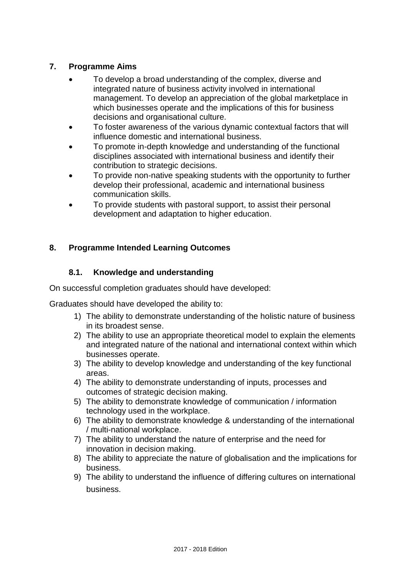## **7. Programme Aims**

- To develop a broad understanding of the complex, diverse and integrated nature of business activity involved in international management. To develop an appreciation of the global marketplace in which businesses operate and the implications of this for business decisions and organisational culture.
- To foster awareness of the various dynamic contextual factors that will influence domestic and international business.
- To promote in-depth knowledge and understanding of the functional disciplines associated with international business and identify their contribution to strategic decisions.
- To provide non-native speaking students with the opportunity to further develop their professional, academic and international business communication skills.
- To provide students with pastoral support, to assist their personal development and adaptation to higher education.

## **8. Programme Intended Learning Outcomes**

## **8.1. Knowledge and understanding**

On successful completion graduates should have developed:

Graduates should have developed the ability to:

- 1) The ability to demonstrate understanding of the holistic nature of business in its broadest sense.
- 2) The ability to use an appropriate theoretical model to explain the elements and integrated nature of the national and international context within which businesses operate.
- 3) The ability to develop knowledge and understanding of the key functional areas.
- 4) The ability to demonstrate understanding of inputs, processes and outcomes of strategic decision making.
- 5) The ability to demonstrate knowledge of communication / information technology used in the workplace.
- 6) The ability to demonstrate knowledge & understanding of the international / multi-national workplace.
- 7) The ability to understand the nature of enterprise and the need for innovation in decision making.
- 8) The ability to appreciate the nature of globalisation and the implications for business.
- 9) The ability to understand the influence of differing cultures on international business.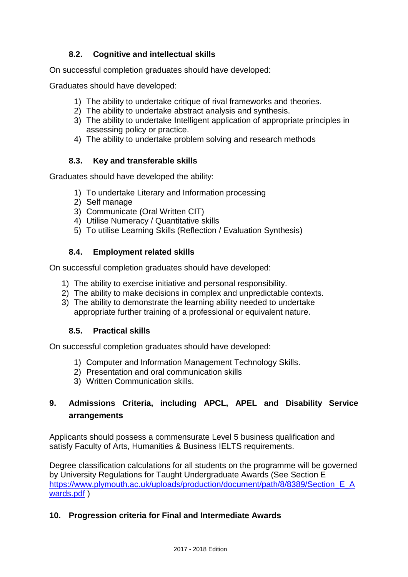## **8.2. Cognitive and intellectual skills**

On successful completion graduates should have developed:

Graduates should have developed:

- 1) The ability to undertake critique of rival frameworks and theories.
- 2) The ability to undertake abstract analysis and synthesis.
- 3) The ability to undertake Intelligent application of appropriate principles in assessing policy or practice.
- 4) The ability to undertake problem solving and research methods

## **8.3. Key and transferable skills**

Graduates should have developed the ability:

- 1) To undertake Literary and Information processing
- 2) Self manage
- 3) Communicate (Oral Written CIT)
- 4) Utilise Numeracy / Quantitative skills
- 5) To utilise Learning Skills (Reflection / Evaluation Synthesis)

## **8.4. Employment related skills**

On successful completion graduates should have developed:

- 1) The ability to exercise initiative and personal responsibility.
- 2) The ability to make decisions in complex and unpredictable contexts.
- 3) The ability to demonstrate the learning ability needed to undertake appropriate further training of a professional or equivalent nature.

#### **8.5. Practical skills**

On successful completion graduates should have developed:

- 1) Computer and Information Management Technology Skills.
- 2) Presentation and oral communication skills
- 3) Written Communication skills.

## **9. Admissions Criteria, including APCL, APEL and Disability Service arrangements**

Applicants should possess a commensurate Level 5 business qualification and satisfy Faculty of Arts, Humanities & Business IELTS requirements.

Degree classification calculations for all students on the programme will be governed by University Regulations for Taught Undergraduate Awards (See Section E https://www.plymouth.ac.uk/uploads/production/document/path/8/8389/Section E A [wards.pdf](https://www.plymouth.ac.uk/uploads/production/document/path/8/8389/Section_E_Awards.pdf) )

## **10. Progression criteria for Final and Intermediate Awards**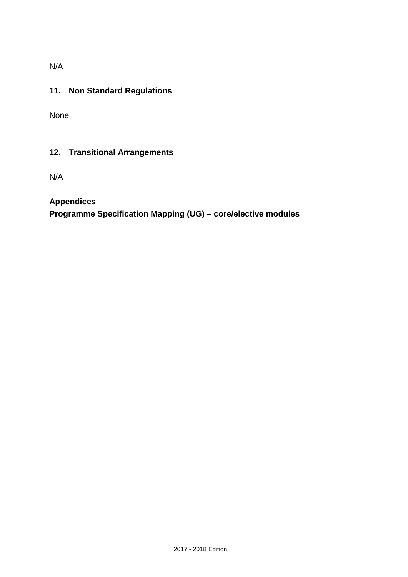N/A

## **11. Non Standard Regulations**

None

## **12. Transitional Arrangements**

N/A

## **Appendices**

**Programme Specification Mapping (UG) – core/elective modules**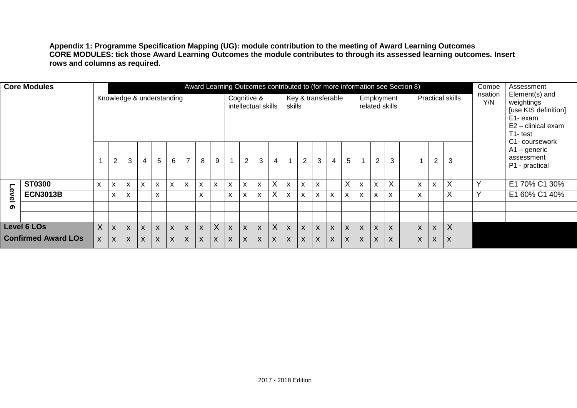**Appendix 1: Programme Specification Mapping (UG): module contribution to the meeting of Award Learning Outcomes CORE MODULES: tick those Award Learning Outcomes the module contributes to through its assessed learning outcomes. Insert rows and columns as required.**

|                                                                                | <b>Core Modules</b> |   |                |                           |   |                           | Knowledge & understanding |                |    | Award Learning Outcomes contributed to (for more information see Section 8) |    | Cognitive &    | intellectual skills |                   | skills         |                |                           | Key & transferable |                |              |              | Employment<br>related skills |   | <b>Practical skills</b>   |                     | Compe<br>nsation<br>Y/N | Assessment<br>Element(s) and<br>weightings<br>[use KIS definition]<br>E1- exam<br>E2 - clinical exam<br>T1-test<br>C1- coursework |
|--------------------------------------------------------------------------------|---------------------|---|----------------|---------------------------|---|---------------------------|---------------------------|----------------|----|-----------------------------------------------------------------------------|----|----------------|---------------------|-------------------|----------------|----------------|---------------------------|--------------------|----------------|--------------|--------------|------------------------------|---|---------------------------|---------------------|-------------------------|-----------------------------------------------------------------------------------------------------------------------------------|
|                                                                                |                     |   | $\overline{2}$ | 3                         | 4 | $5\phantom{.0}$           | 6                         | $\overline{7}$ | 8  | 9                                                                           |    | $\overline{2}$ | 3                   | 4                 | $\overline{A}$ | $\overline{2}$ | 3                         | $\overline{4}$     | $\overline{5}$ | $\mathbf{1}$ | 2            | 3                            |   | $\overline{2}$            | 3                   |                         | $A1 -$ generic<br>assessment<br>P1 - practical                                                                                    |
|                                                                                | <b>ST0300</b>       | X | X              | $\boldsymbol{\mathsf{x}}$ | X | $\boldsymbol{\mathsf{x}}$ | X                         | X              | X. | $\mathsf{x}$                                                                | X  | X              | X                   | $\checkmark$<br>ᄉ | X              | X              | $\boldsymbol{\mathsf{x}}$ |                    | $\overline{X}$ | X            | $\mathsf{x}$ | $\mathsf{X}$                 | X | $\boldsymbol{\mathsf{x}}$ | $\vee$<br>$\lambda$ | Υ                       | E1 70% C1 30%                                                                                                                     |
| Level                                                                          | <b>ECN3013B</b>     |   | X              | X                         |   | X                         |                           |                | X  |                                                                             | x  | X              | X                   | $\lambda$         | X              | X              | X                         | X                  | X              | X            | X.           | X                            | X |                           | $\sf X$             |                         | E1 60% C1 40%                                                                                                                     |
| ග                                                                              |                     |   |                |                           |   |                           |                           |                |    |                                                                             |    |                |                     |                   |                |                |                           |                    |                |              |              |                              |   |                           |                     |                         |                                                                                                                                   |
|                                                                                |                     |   |                |                           |   |                           |                           |                |    |                                                                             |    |                |                     |                   |                |                |                           |                    |                |              |              |                              |   |                           |                     |                         |                                                                                                                                   |
| X<br>X<br><b>Level 6 LOs</b><br>X<br>X<br>X<br>X<br>X<br>$\boldsymbol{X}$<br>X |                     |   |                | X.                        | X | X                         | X                         | X              | X  | X                                                                           | X  | X              | $\mathsf{X}$        | X                 | X              | X              | X                         | X                  |                |              |              |                              |   |                           |                     |                         |                                                                                                                                   |
| <b>Confirmed Award LOs</b>                                                     |                     | X | X              | X                         | X | $\boldsymbol{X}$          | X                         | X              | X  | X                                                                           | X. | X              | X                   | X                 | X              | X              | X                         | X                  | X              | X            | X            | X                            | X | X                         | X                   |                         |                                                                                                                                   |